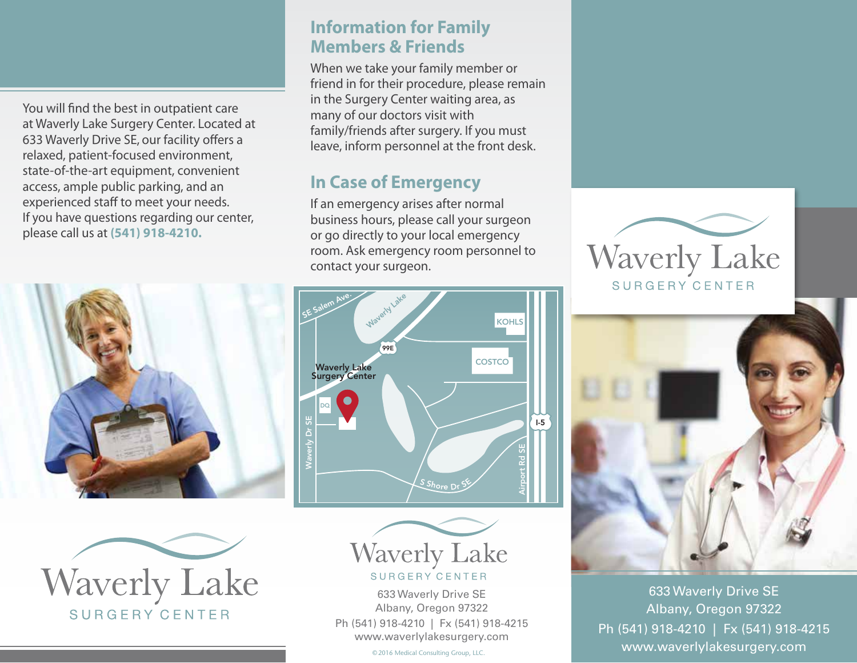You will find the best in outpatient care at Waverly Lake Surgery Center. Located at 633 Waverly Drive SE, our facility offers a relaxed, patient-focused environment, state-of-the-art equipment, convenient access, ample public parking, and an experienced staff to meet your needs. If you have questions regarding our center, please call us at **(541) 918-4210.**





### **Information for Family Members & Friends**

When we take your family member or friend in for their procedure, please remain in the Surgery Center waiting area, as many of our doctors visit with family/friends after surgery. If you must leave, inform personnel at the front desk.

# **In Case of Emergency**

If an emergency arises after normal business hours, please call your surgeon or go directly to your local emergency room. Ask emergency room personnel to contact your surgeon.





633 Waverly Drive SE Albany, Oregon 97322 Ph (541) 918-4210 | Fx (541) 918-4215 www.waverlylakesurgery.com

©2016 Medical Consulting Group, LLC.





633 Waverly Drive SE Albany, Oregon 97322 Ph (541) 918-4210 | Fx (541) 918-4215 www.waverlylakesurgery.com